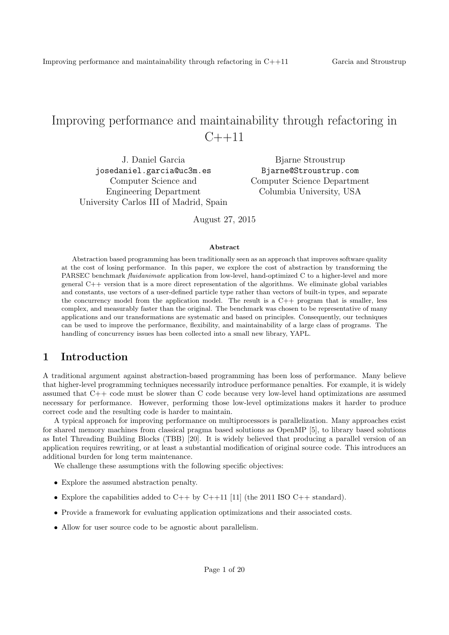# Improving performance and maintainability through refactoring in  $C_{++}11$

J. Daniel Garcia josedaniel.garcia@uc3m.es Computer Science and Engineering Department University Carlos III of Madrid, Spain

Bjarne Stroustrup Bjarne@Stroustrup.com Computer Science Department Columbia University, USA

August 27, 2015

#### Abstract

Abstraction based programming has been traditionally seen as an approach that improves software quality at the cost of losing performance. In this paper, we explore the cost of abstraction by transforming the PARSEC benchmark fluidanimate application from low-level, hand-optimized C to a higher-level and more general C++ version that is a more direct representation of the algorithms. We eliminate global variables and constants, use vectors of a user-defined particle type rather than vectors of built-in types, and separate the concurrency model from the application model. The result is a  $C++$  program that is smaller, less complex, and measurably faster than the original. The benchmark was chosen to be representative of many applications and our transformations are systematic and based on principles. Consequently, our techniques can be used to improve the performance, flexibility, and maintainability of a large class of programs. The handling of concurrency issues has been collected into a small new library, YAPL.

## 1 Introduction

A traditional argument against abstraction-based programming has been loss of performance. Many believe that higher-level programming techniques necessarily introduce performance penalties. For example, it is widely assumed that C++ code must be slower than C code because very low-level hand optimizations are assumed necessary for performance. However, performing those low-level optimizations makes it harder to produce correct code and the resulting code is harder to maintain.

A typical approach for improving performance on multiprocessors is parallelization. Many approaches exist for shared memory machines from classical pragma based solutions as OpenMP [5], to library based solutions as Intel Threading Building Blocks (TBB) [20]. It is widely believed that producing a parallel version of an application requires rewriting, or at least a substantial modification of original source code. This introduces an additional burden for long term maintenance.

We challenge these assumptions with the following specific objectives:

- Explore the assumed abstraction penalty.
- Explore the capabilities added to  $C++$  by  $C++11$  [11] (the 2011 ISO  $C++$  standard).
- Provide a framework for evaluating application optimizations and their associated costs.
- Allow for user source code to be agnostic about parallelism.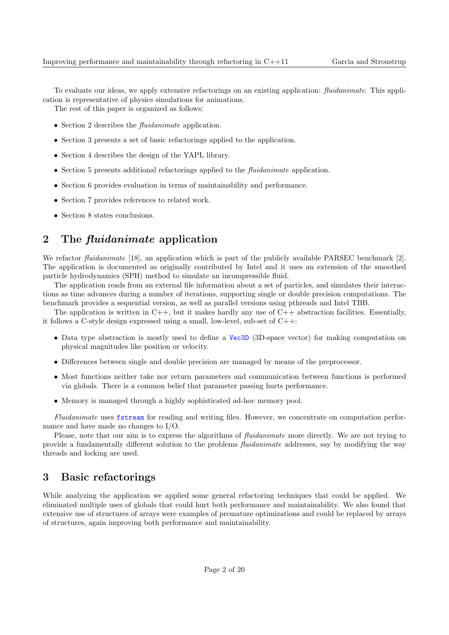To evaluate our ideas, we apply extensive refactorings on an existing application: fluidanimate. This application is representative of physics simulations for animations.

The rest of this paper is organized as follows:

- Section 2 describes the *fluidanimate* application.
- Section 3 presents a set of basic refactorings applied to the application.
- Section 4 describes the design of the YAPL library.
- Section 5 presents additional refactorings applied to the *fluidanimate* application.
- Section 6 provides evaluation in terms of maintainability and performance.
- Section 7 provides references to related work.
- Section 8 states conclusions.

## 2 The fluidanimate application

We refactor *fluidanimate* [18], an application which is part of the publicly available PARSEC benchmark [2]. The application is documented as originally contributed by Intel and it uses an extension of the smoothed particle hydrodynamics (SPH) method to simulate an incompressible fluid.

The application reads from an external file information about a set of particles, and simulates their interactions as time advances during a number of iterations, supporting single or double precision computations. The benchmark provides a sequential version, as well as parallel versions using pthreads and Intel TBB.

The application is written in  $C_{++}$ , but it makes hardly any use of  $C_{++}$  abstraction facilities. Essentially, it follows a C-style design expressed using a small, low-level, sub-set of C++:

- Data type abstraction is mostly used to define a Vec3D (3D-space vector) for making computation on physical magnitudes like position or velocity.
- Differences between single and double precision are managed by means of the preprocessor.
- Most functions neither take nor return parameters and communication between functions is performed via globals. There is a common belief that parameter passing hurts performance.
- Memory is managed through a highly sophisticated ad-hoc memory pool.

Fluidanimate uses fstream for reading and writing files. However, we concentrate on computation performance and have made no changes to I/O.

Please, note that our aim is to express the algorithms of *fluidanimate* more directly. We are not trying to provide a fundamentally different solution to the problems fluidanimate addresses, say by modifying the way threads and locking are used.

## 3 Basic refactorings

While analyzing the application we applied some general refactoring techniques that could be applied. We eliminated multiple uses of globals that could hurt both performance and maintainability. We also found that extensive use of structures of arrays were examples of premature optimizations and could be replaced by arrays of structures, again improving both performance and maintainability.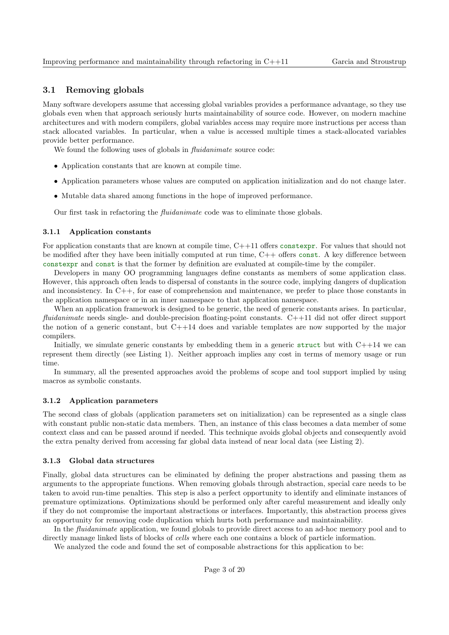### 3.1 Removing globals

Many software developers assume that accessing global variables provides a performance advantage, so they use globals even when that approach seriously hurts maintainability of source code. However, on modern machine architectures and with modern compilers, global variables access may require more instructions per access than stack allocated variables. In particular, when a value is accessed multiple times a stack-allocated variables provide better performance.

We found the following uses of globals in *fluidanimate* source code:

- Application constants that are known at compile time.
- Application parameters whose values are computed on application initialization and do not change later.
- Mutable data shared among functions in the hope of improved performance.

Our first task in refactoring the fluidanimate code was to eliminate those globals.

#### 3.1.1 Application constants

For application constants that are known at compile time, C++11 offers constexpr. For values that should not be modified after they have been initially computed at run time, C++ offers const. A key difference between constexpr and const is that the former by definition are evaluated at compile-time by the compiler.

Developers in many OO programming languages define constants as members of some application class. However, this approach often leads to dispersal of constants in the source code, implying dangers of duplication and inconsistency. In C++, for ease of comprehension and maintenance, we prefer to place those constants in the application namespace or in an inner namespace to that application namespace.

When an application framework is designed to be generic, the need of generic constants arises. In particular, fluidanimate needs single- and double-precision floating-point constants. C++11 did not offer direct support the notion of a generic constant, but C++14 does and variable templates are now supported by the major compilers.

Initially, we simulate generic constants by embedding them in a generic struct but with  $C++14$  we can represent them directly (see Listing 1). Neither approach implies any cost in terms of memory usage or run time.

In summary, all the presented approaches avoid the problems of scope and tool support implied by using macros as symbolic constants.

#### 3.1.2 Application parameters

The second class of globals (application parameters set on initialization) can be represented as a single class with constant public non-static data members. Then, an instance of this class becomes a data member of some context class and can be passed around if needed. This technique avoids global objects and consequently avoid the extra penalty derived from accessing far global data instead of near local data (see Listing 2).

#### 3.1.3 Global data structures

Finally, global data structures can be eliminated by defining the proper abstractions and passing them as arguments to the appropriate functions. When removing globals through abstraction, special care needs to be taken to avoid run-time penalties. This step is also a perfect opportunity to identify and eliminate instances of premature optimizations. Optimizations should be performed only after careful measurement and ideally only if they do not compromise the important abstractions or interfaces. Importantly, this abstraction process gives an opportunity for removing code duplication which hurts both performance and maintainability.

In the *fluidanimate* application, we found globals to provide direct access to an ad-hoc memory pool and to directly manage linked lists of blocks of *cells* where each one contains a block of particle information.

We analyzed the code and found the set of composable abstractions for this application to be: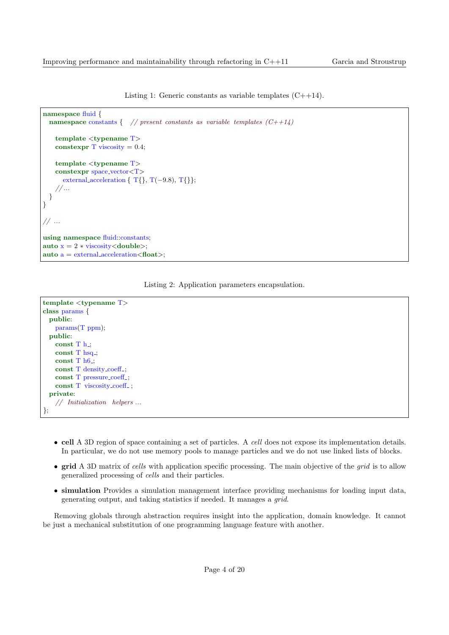Listing 1: Generic constants as variable templates  $(C++14)$ .

```
namespace fluid {
 namespace constants { // present constants as variable templates (C++1/4)template <typename T>
   constexpr T viscosity = 0.4;
   template <typename T>
   constexpr space vector<T>
      external acceleration {T\{, T(-9.8), T\}};
    // ...
  }
}
// ...
using namespace fluid::constants;
auto x = 2 * viscosity <double>;
auto a = external_acceleration < float;
```




- cell A 3D region of space containing a set of particles. A cell does not expose its implementation details. In particular, we do not use memory pools to manage particles and we do not use linked lists of blocks.
- grid A 3D matrix of cells with application specific processing. The main objective of the *grid* is to allow generalized processing of cells and their particles.
- simulation Provides a simulation management interface providing mechanisms for loading input data, generating output, and taking statistics if needed. It manages a grid.

Removing globals through abstraction requires insight into the application, domain knowledge. It cannot be just a mechanical substitution of one programming language feature with another.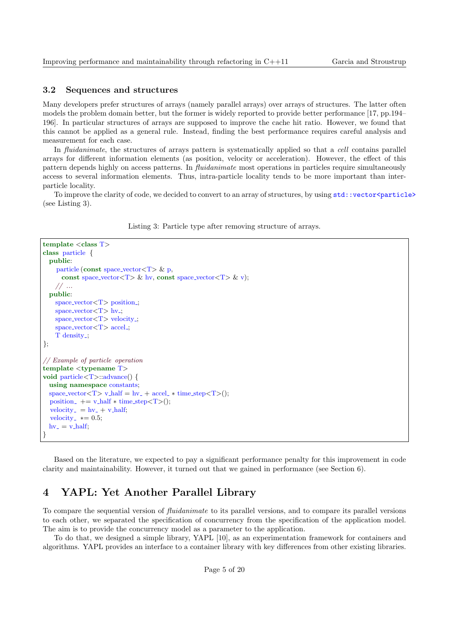### 3.2 Sequences and structures

Many developers prefer structures of arrays (namely parallel arrays) over arrays of structures. The latter often models the problem domain better, but the former is widely reported to provide better performance [17, pp.194– 196]. In particular structures of arrays are supposed to improve the cache hit ratio. However, we found that this cannot be applied as a general rule. Instead, finding the best performance requires careful analysis and measurement for each case.

In *fluidanimate*, the structures of arrays pattern is systematically applied so that a *cell* contains parallel arrays for different information elements (as position, velocity or acceleration). However, the effect of this pattern depends highly on access patterns. In fluidanimate most operations in particles require simultaneously access to several information elements. Thus, intra-particle locality tends to be more important than interparticle locality.

To improve the clarity of code, we decided to convert to an array of structures, by using  $std::vector\$ (see Listing 3).

Listing 3: Particle type after removing structure of arrays.

```
template \langle class T\rangleclass particle {
  public:
    particle (const space_vector\langle T \rangle & p,
      const space_vector<T> & hv, const space_vector<T> & v);
    1/ ...
  public:
    space\_vector < T> position.;
    space_vector\langle T \rangle hv.;
    space\_vector < T velocity.;
    space\_vector < T > accel;
    T density<sub>-</sub>;
};
// Example of particle operation
template <typename T>
void particle<T>::advance() {
  using namespace constants;
  space_vector<T> v_half = hv_ + accel_* time_step<T>();
  position += v_{{\text{half}}} * \text{time\_step} < T>();
  velocity_ = hy_ + v_half;
  velocity * = 0.5;
  hv = v \_half;}
```
Based on the literature, we expected to pay a significant performance penalty for this improvement in code clarity and maintainability. However, it turned out that we gained in performance (see Section 6).

## 4 YAPL: Yet Another Parallel Library

To compare the sequential version of fluidanimate to its parallel versions, and to compare its parallel versions to each other, we separated the specification of concurrency from the specification of the application model. The aim is to provide the concurrency model as a parameter to the application.

To do that, we designed a simple library, YAPL [10], as an experimentation framework for containers and algorithms. YAPL provides an interface to a container library with key differences from other existing libraries.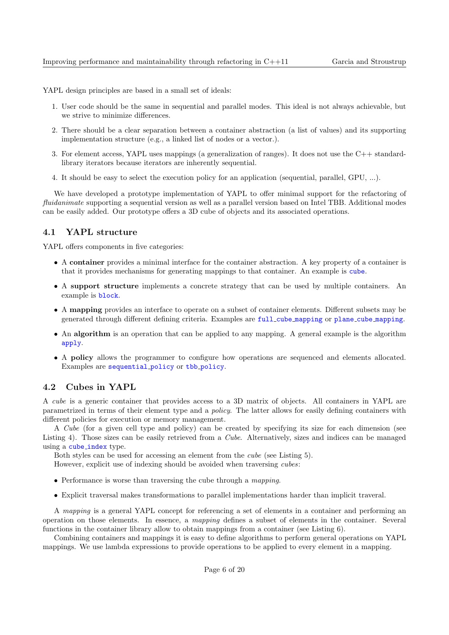YAPL design principles are based in a small set of ideals:

- 1. User code should be the same in sequential and parallel modes. This ideal is not always achievable, but we strive to minimize differences.
- 2. There should be a clear separation between a container abstraction (a list of values) and its supporting implementation structure (e.g., a linked list of nodes or a vector.).
- 3. For element access, YAPL uses mappings (a generalization of ranges). It does not use the C++ standardlibrary iterators because iterators are inherently sequential.
- 4. It should be easy to select the execution policy for an application (sequential, parallel, GPU, ...).

We have developed a prototype implementation of YAPL to offer minimal support for the refactoring of fluidanimate supporting a sequential version as well as a parallel version based on Intel TBB. Additional modes can be easily added. Our prototype offers a 3D cube of objects and its associated operations.

### 4.1 YAPL structure

YAPL offers components in five categories:

- A container provides a minimal interface for the container abstraction. A key property of a container is that it provides mechanisms for generating mappings to that container. An example is cube.
- A support structure implements a concrete strategy that can be used by multiple containers. An example is block.
- A mapping provides an interface to operate on a subset of container elements. Different subsets may be generated through different defining criteria. Examples are full cube mapping or plane cube mapping.
- An algorithm is an operation that can be applied to any mapping. A general example is the algorithm apply.
- A policy allows the programmer to configure how operations are sequenced and elements allocated. Examples are sequential policy or tbb policy.

### 4.2 Cubes in YAPL

A cube is a generic container that provides access to a 3D matrix of objects. All containers in YAPL are parametrized in terms of their element type and a policy. The latter allows for easily defining containers with different policies for execution or memory management.

A Cube (for a given cell type and policy) can be created by specifying its size for each dimension (see Listing 4). Those sizes can be easily retrieved from a Cube. Alternatively, sizes and indices can be managed using a cube\_index type.

Both styles can be used for accessing an element from the cube (see Listing 5).

However, explicit use of indexing should be avoided when traversing cubes:

- Performance is worse than traversing the cube through a mapping.
- Explicit traversal makes transformations to parallel implementations harder than implicit traveral.

A mapping is a general YAPL concept for referencing a set of elements in a container and performing an operation on those elements. In essence, a mapping defines a subset of elements in the container. Several functions in the container library allow to obtain mappings from a container (see Listing 6).

Combining containers and mappings it is easy to define algorithms to perform general operations on YAPL mappings. We use lambda expressions to provide operations to be applied to every element in a mapping.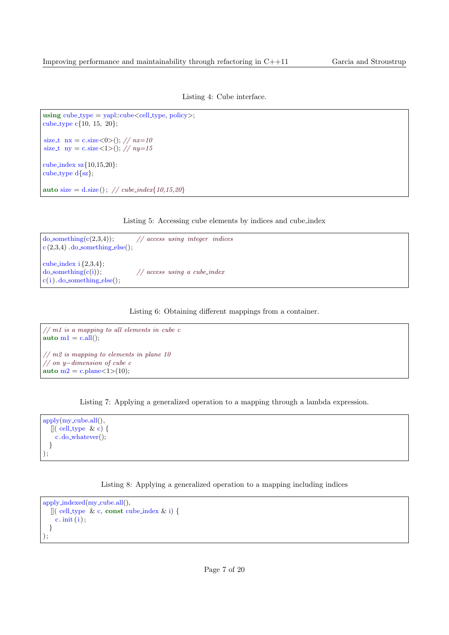Listing 4: Cube interface.

```
using cube\_type = yapl::cube < cell\_type, policy >;cube type c{10, 15, 20};
size_t nx = c.size < 0>(); // nx=10size_t ny = c.size <1>(); // ny=15cube index sz{10,15,20}:
cube_type d{sz};auto size = d.size(); // cube_index{10,15,20}
```
Listing 5: Accessing cube elements by indices and cube index

| $\text{do\_something}(c(2,3,4))$ ;<br>$c(2,3,4)$ . do_something_else();                            | $\frac{1}{\sqrt{2}}$ access using integer indices |
|----------------------------------------------------------------------------------------------------|---------------------------------------------------|
| cube_index $i\{2,3,4\}$ ;<br>$\text{do}_\text{something}(c(i))$ :<br>$c(i)$ . do_something_else(); | $\frac{1}{2}$ access using a cube-index           |

Listing 6: Obtaining different mappings from a container.

```
// m1 is a mapping to all elements in cube c
auto ml = c.all();
// m2 is mapping to elements in plane 10
// on y−dimension of cube c
auto m2 = c. plane\langle 1 \rangle(10);
```
Listing 7: Applying a generalized operation to a mapping through a lambda expression.

```
apply(my\_cube.all(),[ (cell_type & c) {
    c.do whatever();
  }
);
```
Listing 8: Applying a generalized operation to a mapping including indices

```
apply_indexed(my_cube.all(),
  [ ( cell_type & c, const cube_index & i) {
    c. init (i);
  }
);
```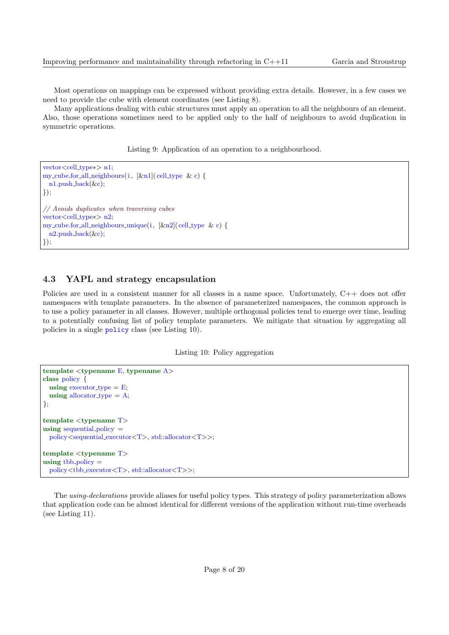Most operations on mappings can be expressed without providing extra details. However, in a few cases we need to provide the cube with element coordinates (see Listing 8).

Many applications dealing with cubic structures must apply an operation to all the neighbours of an element. Also, those operations sometimes need to be applied only to the half of neighbours to avoid duplication in symmetric operations.

Listing 9: Application of an operation to a neighbourhood.

```
vector<cell_type∗> n1;
my_cube.for_all_neighbours(i, [&n1](cell_type & c) {
 n1.push_back(\&c);
});
// Avoids duplicates when traversing cubes
vector<cell type∗> n2;
my_cube.for_all_neighbours_unique(i, [&n2](cell_type & c) {
  n2.push_back(\&c);
});
```
### 4.3 YAPL and strategy encapsulation

Policies are used in a consistent manner for all classes in a name space. Unfortunately, C++ does not offer namespaces with template parameters. In the absence of parameterized namespaces, the common approach is to use a policy parameter in all classes. However, multiple orthogonal policies tend to emerge over time, leading to a potentially confusing list of policy template parameters. We mitigate that situation by aggregating all policies in a single policy class (see Listing 10).

Listing 10: Policy aggregation

```
template ltypename E, typename A>class policy {
 using executor_type = E;
 using allocator type = A;
};
template <typename T>
using sequential policy =policy<sequential executor<T>, std::allocator<T>>;
template <typename T>
using tbb_policy =policy<tbb executor<T>, std::allocator<T>>;
```
The using-declarations provide aliases for useful policy types. This strategy of policy parameterization allows that application code can be almost identical for different versions of the application without run-time overheads (see Listing 11).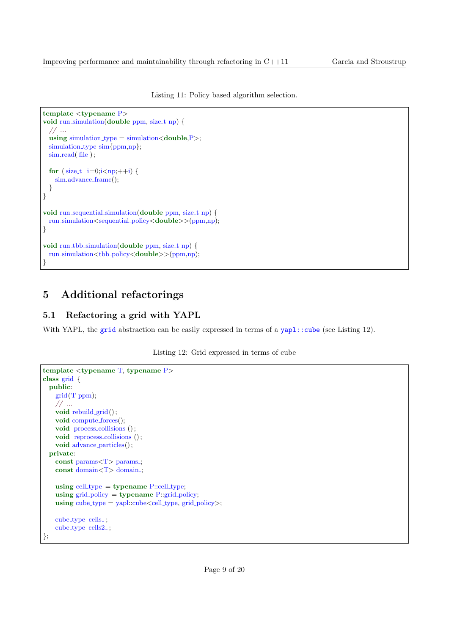Listing 11: Policy based algorithm selection.

```
template <typename P>
void run simulation(double ppm, size_t np) {
  // ...
 using simulation type = simulation\lt double, P >;
 simulation_type sim{ppm,np};
 sim.read(file);
  for (size_t i = 0,i < np;++i) {
   sim.advance frame();
 }
}
void run sequential simulation (double ppm, size t np) {
 run simulation<sequential policy<double>>(ppm,np);
}
void run tbb simulation(double ppm, size t np) {
 run_simulation<tbb_policy<double>>(ppm,np);
}
```
## 5 Additional refactorings

## 5.1 Refactoring a grid with YAPL

With YAPL, the grid abstraction can be easily expressed in terms of a  $yap1::cube$  (see Listing 12).

Listing 12: Grid expressed in terms of cube

```
template <typename T, typename P>
class grid {
 public:
   grid(T ppm);// ...
   void rebuild grid();
   void compute forces();
   void process_collisions ();
   void reprocess_collisions ();
   void advance_particles();
 private:
   const params(T> params.;
   const domain<T> domain.
   using cell type = typename P::cell type;
   using grid-policy = typename P::grid-policy;
   using cube_type = yapl::cube \le cell_type, grid-policy;
   cube_type cells_;
   cube_type cells2_;
};
```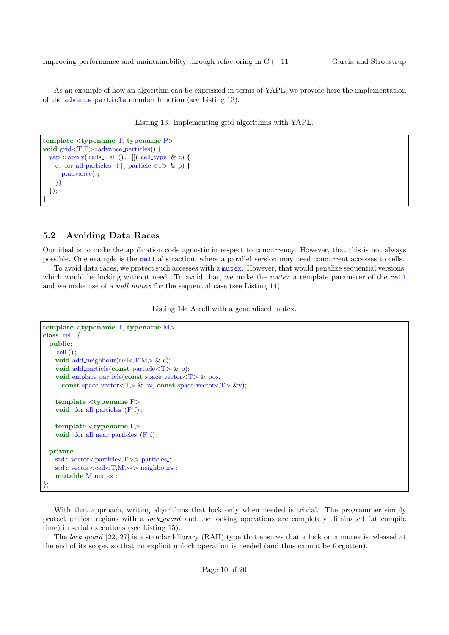As an example of how an algorithm can be expressed in terms of YAPL, we provide here the implementation of the advance particle member function (see Listing 13).

Listing 13: Implementing grid algorithms with YAPL.

```
template <typename T, typename P>
void grid<T,P>::advance particles() {
  yapl :: apply( cells_ . all (), \left[ \right] ( cell_type & c) {
    c. for all particles (\left[\right] ( particle \left\langle T \right\rangle \& p) {
       p.advance();
     });
  });
}
```
### 5.2 Avoiding Data Races

Our ideal is to make the application code agnostic in respect to concurrency. However, that this is not always possible. One example is the cell abstraction, where a parallel version may need concurrent accesses to cells.

To avoid data races, we protect such accesses with a mutex. However, that would penalize sequential versions, which would be locking without need. To avoid that, we make the *mutex* a template parameter of the cell and we make use of a null mutex for the sequential case (see Listing 14).

Listing 14: A cell with a generalized mutex.

```
template <typename T, typename M>
class cell {
 public:
    cell ();
    void add_neighbour(cell<T,M> & c);
    void add particle(const particle(T > \& p);
   void emplace particle(const space vector \langle T \rangle & pos,
     const space_vector<T> & hv, const space_vector<T> &v);
   template <tvpename F>
   void for all particles (F f);
   template <typename F>
   void for all near particles (F f);
  private:
   std::vector <i>particle < T>> particles ;
   std :: vector<cell<T,M>∗> neighbours...
   mutable M mutex.;
};
```
With that approach, writing algorithms that lock only when needed is trivial. The programmer simply protect critical regions with a lock guard and the locking operations are completely eliminated (at compile time) in serial executions (see Listing 15).

The lock guard [22, 27] is a standard-library (RAII) type that ensures that a lock on a mutex is released at the end of its scope, so that no explicit unlock operation is needed (and thus cannot be forgotten).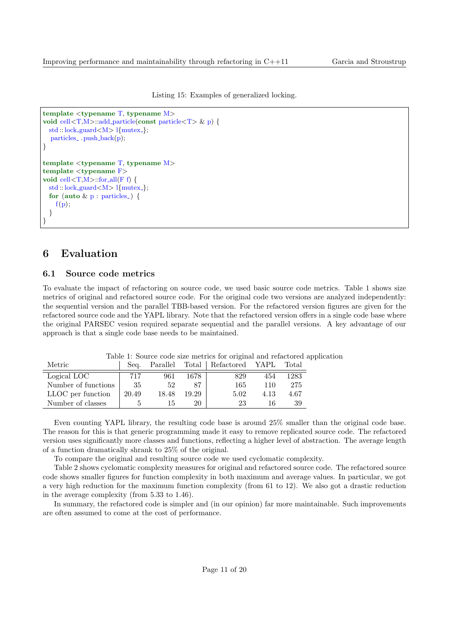Listing 15: Examples of generalized locking.

```
template ltypename T, typename M>void cell<T,M>::add particle(const particle<T> & p) {
 std :: lock guard<M> l{mutex };
  particles . push-back(p);
}
template lt typename T, typename M>template <typename F>
void cell\langle T,M\rangle::for_all(F f) {
 std::lock\_guard < M > 1{mutex<sub>-</sub>};
  for (auto \& p : particles.) {
    f(p);}
}
```
## 6 Evaluation

### 6.1 Source code metrics

To evaluate the impact of refactoring on source code, we used basic source code metrics. Table 1 shows size metrics of original and refactored source code. For the original code two versions are analyzed independently: the sequential version and the parallel TBB-based version. For the refactored version figures are given for the refactored source code and the YAPL library. Note that the refactored version offers in a single code base where the original PARSEC vesion required separate sequential and the parallel versions. A key advantage of our approach is that a single code base needs to be maintained.

| Metric              | Sea.  | Parallel |       | Total Refactored YAPL |      | Total |
|---------------------|-------|----------|-------|-----------------------|------|-------|
| Logical LOC         | 717   | 961      | 1678  | 829                   | 454  | 1283  |
| Number of functions | 35    | 52       | -87   | 165                   | 110  | 275   |
| LLOC per function   | 20.49 | 18.48    | 19.29 | 5.02                  | 4.13 | 4.67  |
| Number of classes   |       | 15       | 20    | 23                    | 16   | 39    |

Table 1: Source code size metrics for original and refactored application

Even counting YAPL library, the resulting code base is around 25% smaller than the original code base. The reason for this is that generic programming made it easy to remove replicated source code. The refactored version uses significantly more classes and functions, reflecting a higher level of abstraction. The average length of a function dramatically shrank to 25% of the original.

To compare the original and resulting source code we used cyclomatic complexity.

Table 2 shows cyclomatic complexity measures for original and refactored source code. The refactored source code shows smaller figures for function complexity in both maximum and average values. In particular, we got a very high reduction for the maximum function complexity (from 61 to 12). We also got a drastic reduction in the average complexity (from 5.33 to 1.46).

In summary, the refactored code is simpler and (in our opinion) far more maintainable. Such improvements are often assumed to come at the cost of performance.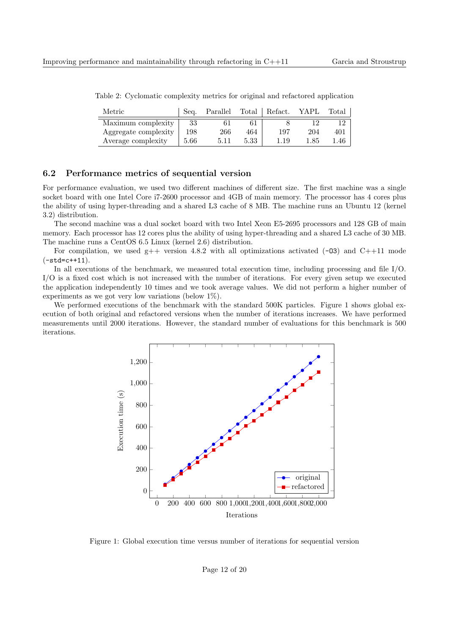| Metric               | Sea. | Parallel |      | Total   Refact. | <b>YAPL</b> | Total |
|----------------------|------|----------|------|-----------------|-------------|-------|
| Maximum complexity   | 33   |          |      |                 |             |       |
| Aggregate complexity | 198  | 266      | 464  | 197             | 204         | 401   |
| Average complexity   | 5.66 | 5.11     | 5.33 | .19             | l.85        | .46   |

Table 2: Cyclomatic complexity metrics for original and refactored application

### 6.2 Performance metrics of sequential version

For performance evaluation, we used two different machines of different size. The first machine was a single socket board with one Intel Core i7-2600 processor and 4GB of main memory. The processor has 4 cores plus the ability of using hyper-threading and a shared L3 cache of 8 MB. The machine runs an Ubuntu 12 (kernel 3.2) distribution.

The second machine was a dual socket board with two Intel Xeon E5-2695 processors and 128 GB of main memory. Each processor has 12 cores plus the ability of using hyper-threading and a shared L3 cache of 30 MB. The machine runs a CentOS 6.5 Linux (kernel 2.6) distribution.

For compilation, we used  $g++$  version 4.8.2 with all optimizations activated (-03) and C++11 mode  $(-std=c++11).$ 

In all executions of the benchmark, we measured total execution time, including processing and file I/O. I/O is a fixed cost which is not increased with the number of iterations. For every given setup we executed the application independently 10 times and we took average values. We did not perform a higher number of experiments as we got very low variations (below 1%).

We performed executions of the benchmark with the standard 500K particles. Figure 1 shows global execution of both original and refactored versions when the number of iterations increases. We have performed measurements until 2000 iterations. However, the standard number of evaluations for this benchmark is 500 iterations.



Figure 1: Global execution time versus number of iterations for sequential version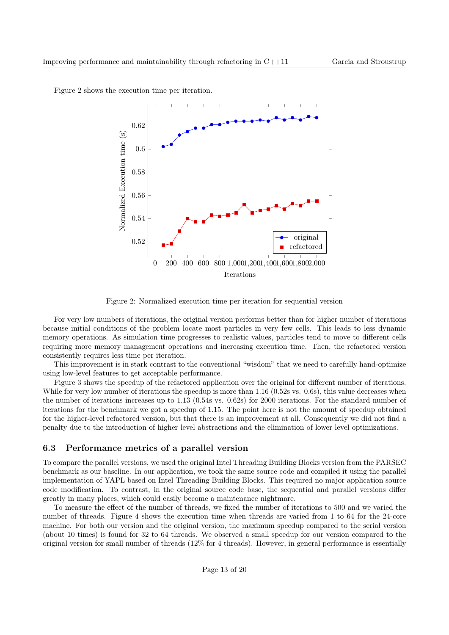

Figure 2 shows the execution time per iteration.

Figure 2: Normalized execution time per iteration for sequential version

For very low numbers of iterations, the original version performs better than for higher number of iterations because initial conditions of the problem locate most particles in very few cells. This leads to less dynamic memory operations. As simulation time progresses to realistic values, particles tend to move to different cells requiring more memory management operations and increasing execution time. Then, the refactored version consistently requires less time per iteration.

This improvement is in stark contrast to the conventional "wisdom" that we need to carefully hand-optimize using low-level features to get acceptable performance.

Figure 3 shows the speedup of the refactored application over the original for different number of iterations. While for very low number of iterations the speedup is more than 1.16 (0.52s vs. 0.6s), this value decreases when the number of iterations increases up to 1.13 (0.54s vs. 0.62s) for 2000 iterations. For the standard number of iterations for the benchmark we got a speedup of 1.15. The point here is not the amount of speedup obtained for the higher-level refactored version, but that there is an improvement at all. Consequently we did not find a penalty due to the introduction of higher level abstractions and the elimination of lower level optimizations.

### 6.3 Performance metrics of a parallel version

To compare the parallel versions, we used the original Intel Threading Building Blocks version from the PARSEC benchmark as our baseline. In our application, we took the same source code and compiled it using the parallel implementation of YAPL based on Intel Threading Building Blocks. This required no major application source code modification. To contrast, in the original source code base, the sequential and parallel versions differ greatly in many places, which could easily become a maintenance nightmare.

To measure the effect of the number of threads, we fixed the number of iterations to 500 and we varied the number of threads. Figure 4 shows the execution time when threads are varied from 1 to 64 for the 24-core machine. For both our version and the original version, the maximum speedup compared to the serial version (about 10 times) is found for 32 to 64 threads. We observed a small speedup for our version compared to the original version for small number of threads (12% for 4 threads). However, in general performance is essentially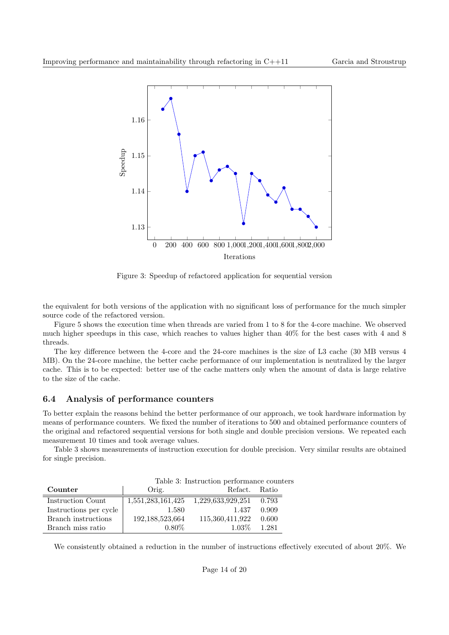

Figure 3: Speedup of refactored application for sequential version

the equivalent for both versions of the application with no significant loss of performance for the much simpler source code of the refactored version.

Figure 5 shows the execution time when threads are varied from 1 to 8 for the 4-core machine. We observed much higher speedups in this case, which reaches to values higher than 40% for the best cases with 4 and 8 threads.

The key difference between the 4-core and the 24-core machines is the size of L3 cache (30 MB versus 4 MB). On the 24-core machine, the better cache performance of our implementation is neutralized by the larger cache. This is to be expected: better use of the cache matters only when the amount of data is large relative to the size of the cache.

### 6.4 Analysis of performance counters

To better explain the reasons behind the better performance of our approach, we took hardware information by means of performance counters. We fixed the number of iterations to 500 and obtained performance counters of the original and refactored sequential versions for both single and double precision versions. We repeated each measurement 10 times and took average values.

Table 3 shows measurements of instruction execution for double precision. Very similar results are obtained for single precision.

|                        | Table 3: Instruction performance counters |                                               |       |  |  |
|------------------------|-------------------------------------------|-----------------------------------------------|-------|--|--|
| Counter                | Orig.                                     | Refact. Ratio                                 |       |  |  |
| Instruction Count      |                                           | 1,551,283,161,425   1,229,633,929,251   0.793 |       |  |  |
| Instructions per cycle | 1.580                                     | 1.437                                         | 0.909 |  |  |
| Branch instructions    | 192, 188, 523, 664                        | 115,360,411,922                               | 0.600 |  |  |
| Branch miss ratio      | $0.80\%$                                  | $1.03\%$                                      | 1.281 |  |  |

We consistently obtained a reduction in the number of instructions effectively executed of about 20%. We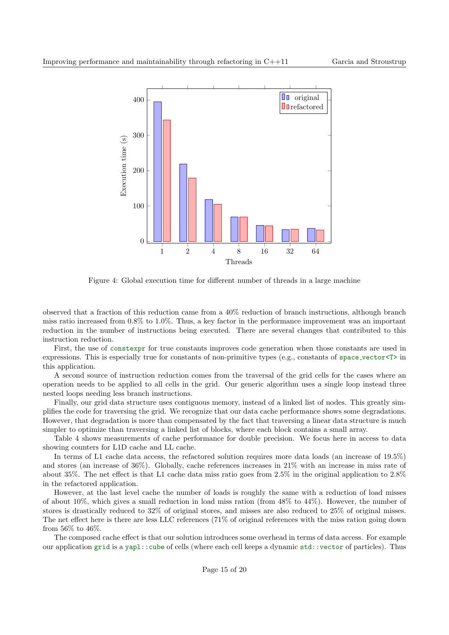

Figure 4: Global execution time for different number of threads in a large machine

observed that a fraction of this reduction came from a 40% reduction of branch instructions, although branch miss ratio increased from 0.8% to 1.0%. Thus, a key factor in the performance improvement was an important reduction in the number of instructions being executed. There are several changes that contributed to this instruction reduction.

First, the use of constexpr for true constants improves code generation when those constants are used in expressions. This is especially true for constants of non-primitive types (e.g., constants of space vector<T> in this application.

A second source of instruction reduction comes from the traversal of the grid cells for the cases where an operation needs to be applied to all cells in the grid. Our generic algorithm uses a single loop instead three nested loops needing less branch instructions.

Finally, our grid data structure uses contiguous memory, instead of a linked list of nodes. This greatly simplifies the code for traversing the grid. We recognize that our data cache performance shows some degradations. However, that degradation is more than compensated by the fact that traversing a linear data structure is much simpler to optimize than traversing a linked list of blocks, where each block contains a small array.

Table 4 shows measurements of cache performance for double precision. We focus here in access to data showing counters for L1D cache and LL cache.

In terms of L1 cache data access, the refactored solution requires more data loads (an increase of 19.5%) and stores (an increase of 36%). Globally, cache references increases in 21% with an increase in miss rate of about 35%. The net effect is that L1 cache data miss ratio goes from 2.5% in the original application to 2.8% in the refactored application.

However, at the last level cache the number of loads is roughly the same with a reduction of load misses of about 10%, which gives a small reduction in load miss ration (from 48% to 44%). However, the number of stores is drastically reduced to 32% of original stores, and misses are also reduced to 25% of original misses. The net effect here is there are less LLC references (71% of original references with the miss ration going down from 56% to 46%.

The composed cache effect is that our solution introduces some overhead in terms of data access. For example our application grid is a yapl::cube of cells (where each cell keeps a dynamic std::vector of particles). Thus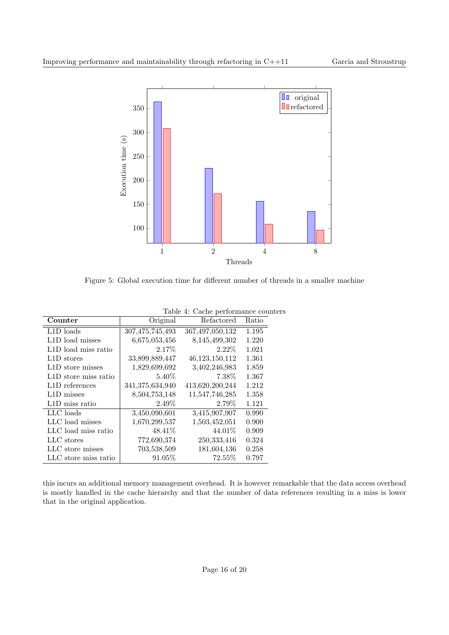

Figure 5: Global execution time for different number of threads in a smaller machine

| Counter                           | Original        | Refactored         | Ratio |
|-----------------------------------|-----------------|--------------------|-------|
| L1D loads                         | 307,475,745,493 | 367, 497, 050, 132 | 1.195 |
| L1D load misses                   | 6,675,053,456   | 8,145,499,302      | 1.220 |
| L1D load miss ratio               | 2.17%           | $2.22\%$           | 1.021 |
| L1D stores                        | 33,899,889,447  | 46,123,150,112     | 1.361 |
| L <sub>1</sub> D store misses     | 1,829,699,692   | 3,402,246,983      | 1.859 |
| L <sub>1</sub> D store miss ratio | 5.40%           | 7.38%              | 1.367 |
| L <sub>1</sub> D references       | 341,375,634,940 | 413,620,200,244    | 1.212 |
| L1D misses                        | 8,504,753,148   | 11,547,746,285     | 1.358 |
| L1D miss ratio                    | 2.49%           | 2.79%              | 1.121 |
| LLC loads                         | 3,450,090,601   | 3,415,907,907      | 0.990 |
| LLC load misses                   | 1,670,299,537   | 1,503,452,051      | 0.900 |
| LLC load miss ratio               | 48.41\%         | 44.01\%            | 0.909 |
| LLC stores                        | 772,690,374     | 250,333,416        | 0.324 |
| LLC store misses                  | 703,538,509     | 181,604,136        | 0.258 |
| LLC store miss ratio              | 91.05%          | 72.55%             | 0.797 |

| Table 4: Cache performance counters |  |
|-------------------------------------|--|
|-------------------------------------|--|

this incurs an additional memory management overhead. It is however remarkable that the data access overhead is mostly handled in the cache hierarchy and that the number of data references resulting in a miss is lower that in the original application.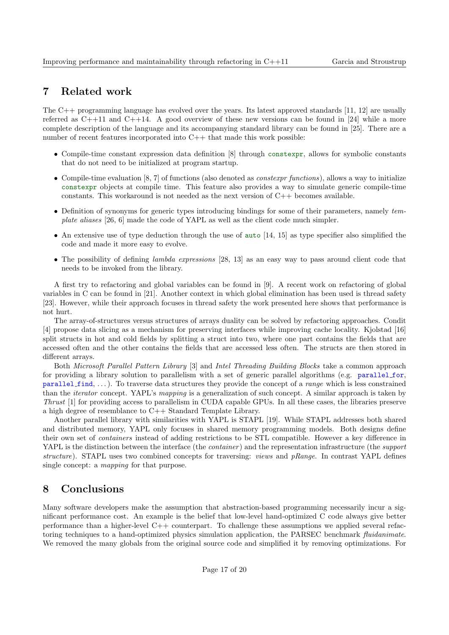## 7 Related work

The C++ programming language has evolved over the years. Its latest approved standards [11, 12] are usually referred as  $C++11$  and  $C++14$ . A good overview of these new versions can be found in [24] while a more complete description of the language and its accompanying standard library can be found in [25]. There are a number of recent features incorporated into C++ that made this work possible:

- Compile-time constant expression data definition [8] through constexpr, allows for symbolic constants that do not need to be initialized at program startup.
- Compile-time evaluation  $[8, 7]$  of functions (also denoted as *constexpr functions*), allows a way to initialize constexpr objects at compile time. This feature also provides a way to simulate generic compile-time constants. This workaround is not needed as the next version of  $C_{++}$  becomes available.
- Definition of synonyms for generic types introducing bindings for some of their parameters, namely template aliases [26, 6] made the code of YAPL as well as the client code much simpler.
- An extensive use of type deduction through the use of  $\alpha$ uto [14, 15] as type specifier also simplified the code and made it more easy to evolve.
- The possibility of defining *lambda expressions* [28, 13] as an easy way to pass around client code that needs to be invoked from the library.

A first try to refactoring and global variables can be found in [9]. A recent work on refactoring of global variables in C can be found in [21]. Another context in which global elimination has been used is thread safety [23]. However, while their approach focuses in thread safety the work presented here shows that performance is not hurt.

The array-of-structures versus structures of arrays duality can be solved by refactoring approaches. Condit [4] propose data slicing as a mechanism for preserving interfaces while improving cache locality. Kjolstad [16] split structs in hot and cold fields by splitting a struct into two, where one part contains the fields that are accessed often and the other contains the fields that are accessed less often. The structs are then stored in different arrays.

Both Microsoft Parallel Pattern Library [3] and Intel Threading Building Blocks take a common approach for providing a library solution to parallelism with a set of generic parallel algorithms (e.g. parallel for, parallel find,  $\dots$ ). To traverse data structures they provide the concept of a *range* which is less constrained than the *iterator* concept. YAPL's mapping is a generalization of such concept. A similar approach is taken by Thrust [1] for providing access to parallelism in CUDA capable GPUs. In all these cases, the libraries preserve a high degree of resemblance to C++ Standard Template Library.

Another parallel library with similarities with YAPL is STAPL [19]. While STAPL addresses both shared and distributed memory, YAPL only focuses in shared memory programming models. Both designs define their own set of containers instead of adding restrictions to be STL compatible. However a key difference in YAPL is the distinction between the interface (the *container*) and the representation infrastructure (the *support* structure). STAPL uses two combined concepts for traversing: *views* and *pRange*. In contrast YAPL defines single concept: a mapping for that purpose.

## 8 Conclusions

Many software developers make the assumption that abstraction-based programming necessarily incur a significant performance cost. An example is the belief that low-level hand-optimized C code always give better performance than a higher-level C++ counterpart. To challenge these assumptions we applied several refactoring techniques to a hand-optimized physics simulation application, the PARSEC benchmark fluidanimate. We removed the many globals from the original source code and simplified it by removing optimizations. For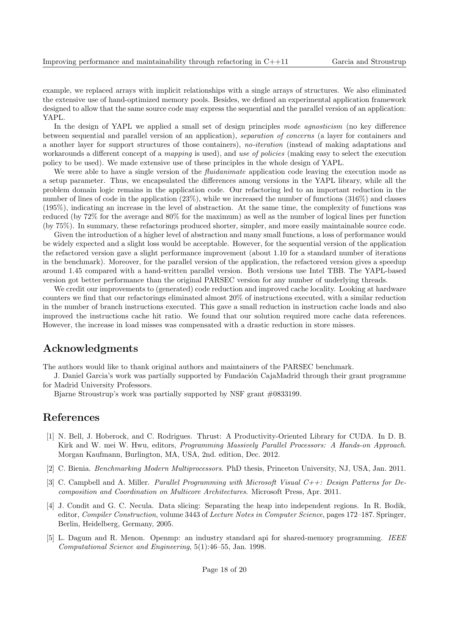example, we replaced arrays with implicit relationships with a single arrays of structures. We also eliminated the extensive use of hand-optimized memory pools. Besides, we defined an experimental application framework designed to allow that the same source code may express the sequential and the parallel version of an application: YAPL.

In the design of YAPL we applied a small set of design principles mode agnosticism (no key difference between sequential and parallel version of an application), separation of concerns (a layer for containers and a another layer for support structures of those containers), no-iteration (instead of making adaptations and workarounds a different concept of a mapping is used), and use of policies (making easy to select the execution policy to be used). We made extensive use of these principles in the whole design of YAPL.

We were able to have a single version of the *fluidanimate* application code leaving the execution mode as a setup parameter. Thus, we encapsulated the differences among versions in the YAPL library, while all the problem domain logic remains in the application code. Our refactoring led to an important reduction in the number of lines of code in the application (23%), while we increased the number of functions (316%) and classes (195%), indicating an increase in the level of abstraction. At the same time, the complexity of functions was reduced (by 72% for the average and 80% for the maximum) as well as the number of logical lines per function (by 75%). In summary, these refactorings produced shorter, simpler, and more easily maintainable source code.

Given the introduction of a higher level of abstraction and many small functions, a loss of performance would be widely expected and a slight loss would be acceptable. However, for the sequential version of the application the refactored version gave a slight performance improvement (about 1.10 for a standard number of iterations in the benchmark). Moreover, for the parallel version of the application, the refactored version gives a speedup around 1.45 compared with a hand-written parallel version. Both versions use Intel TBB. The YAPL-based version got better performance than the original PARSEC version for any number of underlying threads.

We credit our improvements to (generated) code reduction and improved cache locality. Looking at hardware counters we find that our refactorings eliminated almost 20% of instructions executed, with a similar reduction in the number of branch instructions executed. This gave a small reduction in instruction cache loads and also improved the instructions cache hit ratio. We found that our solution required more cache data references. However, the increase in load misses was compensated with a drastic reduction in store misses.

## Acknowledgments

The authors would like to thank original authors and maintainers of the PARSEC benchmark.

J. Daniel Garcia's work was partially supported by Fundación CajaMadrid through their grant programme for Madrid University Professors.

Bjarne Stroustrup's work was partially supported by NSF grant #0833199.

## References

- [1] N. Bell, J. Hoberock, and C. Rodrigues. Thrust: A Productivity-Oriented Library for CUDA. In D. B. Kirk and W. mei W. Hwu, editors, Programming Massively Parallel Processors: A Hands-on Approach. Morgan Kaufmann, Burlington, MA, USA, 2nd. edition, Dec. 2012.
- [2] C. Bienia. Benchmarking Modern Multiprocessors. PhD thesis, Princeton University, NJ, USA, Jan. 2011.
- [3] C. Campbell and A. Miller. *Parallel Programming with Microsoft Visual C++: Design Patterns for De*composition and Coordination on Multicore Architectures. Microsoft Press, Apr. 2011.
- [4] J. Condit and G. C. Necula. Data slicing: Separating the heap into independent regions. In R. Bodik, editor, Compiler Construction, volume 3443 of Lecture Notes in Computer Science, pages 172–187. Springer, Berlin, Heidelberg, Germany, 2005.
- [5] L. Dagum and R. Menon. Openmp: an industry standard api for shared-memory programming. IEEE Computational Science and Engineering, 5(1):46–55, Jan. 1998.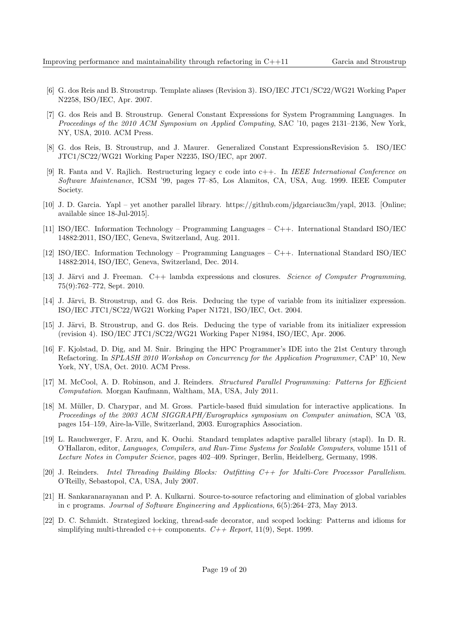- [6] G. dos Reis and B. Stroustrup. Template aliases (Revision 3). ISO/IEC JTC1/SC22/WG21 Working Paper N2258, ISO/IEC, Apr. 2007.
- [7] G. dos Reis and B. Stroustrup. General Constant Expressions for System Programming Languages. In Proceedings of the 2010 ACM Symposium on Applied Computing, SAC '10, pages 2131–2136, New York, NY, USA, 2010. ACM Press.
- [8] G. dos Reis, B. Stroustrup, and J. Maurer. Generalized Constant ExpressionsRevision 5. ISO/IEC JTC1/SC22/WG21 Working Paper N2235, ISO/IEC, apr 2007.
- [9] R. Fanta and V. Rajlich. Restructuring legacy c code into c++. In IEEE International Conference on Software Maintenance, ICSM '99, pages 77–85, Los Alamitos, CA, USA, Aug. 1999. IEEE Computer Society.
- [10] J. D. Garcia. Yapl yet another parallel library. https://github.com/jdgarciauc3m/yapl, 2013. [Online; available since 18-Jul-2015].
- [11] ISO/IEC. Information Technology Programming Languages C++. International Standard ISO/IEC 14882:2011, ISO/IEC, Geneva, Switzerland, Aug. 2011.
- [12] ISO/IEC. Information Technology Programming Languages C++. International Standard ISO/IEC 14882:2014, ISO/IEC, Geneva, Switzerland, Dec. 2014.
- [13] J. Järvi and J. Freeman.  $C++$  lambda expressions and closures. Science of Computer Programming, 75(9):762–772, Sept. 2010.
- [14] J. Järvi, B. Stroustrup, and G. dos Reis. Deducing the type of variable from its initializer expression. ISO/IEC JTC1/SC22/WG21 Working Paper N1721, ISO/IEC, Oct. 2004.
- [15] J. Järvi, B. Stroustrup, and G. dos Reis. Deducing the type of variable from its initializer expression (revision 4). ISO/IEC JTC1/SC22/WG21 Working Paper N1984, ISO/IEC, Apr. 2006.
- [16] F. Kjolstad, D. Dig, and M. Snir. Bringing the HPC Programmer's IDE into the 21st Century through Refactoring. In SPLASH 2010 Workshop on Concurrency for the Application Programmer, CAP' 10, New York, NY, USA, Oct. 2010. ACM Press.
- [17] M. McCool, A. D. Robinson, and J. Reinders. Structured Parallel Programming: Patterns for Efficient Computation. Morgan Kaufmann, Waltham, MA, USA, July 2011.
- [18] M. M¨uller, D. Charypar, and M. Gross. Particle-based fluid simulation for interactive applications. In Proceedings of the 2003 ACM SIGGRAPH/Eurographics symposium on Computer animation, SCA '03, pages 154–159, Aire-la-Ville, Switzerland, 2003. Eurographics Association.
- [19] L. Rauchwerger, F. Arzu, and K. Ouchi. Standard templates adaptive parallel library (stapl). In D. R. O'Hallaron, editor, Languages, Compilers, and Run-Time Systems for Scalable Computers, volume 1511 of Lecture Notes in Computer Science, pages 402–409. Springer, Berlin, Heidelberg, Germany, 1998.
- [20] J. Reinders. Intel Threading Building Blocks: Outfitting C++ for Multi-Core Processor Parallelism. O'Reilly, Sebastopol, CA, USA, July 2007.
- [21] H. Sankaranarayanan and P. A. Kulkarni. Source-to-source refactoring and elimination of global variables in c programs. Journal of Software Engineering and Applications, 6(5):264–273, May 2013.
- [22] D. C. Schmidt. Strategized locking, thread-safe decorator, and scoped locking: Patterns and idioms for simplifying multi-threaded  $c++$  components.  $C++$  Report, 11(9), Sept. 1999.